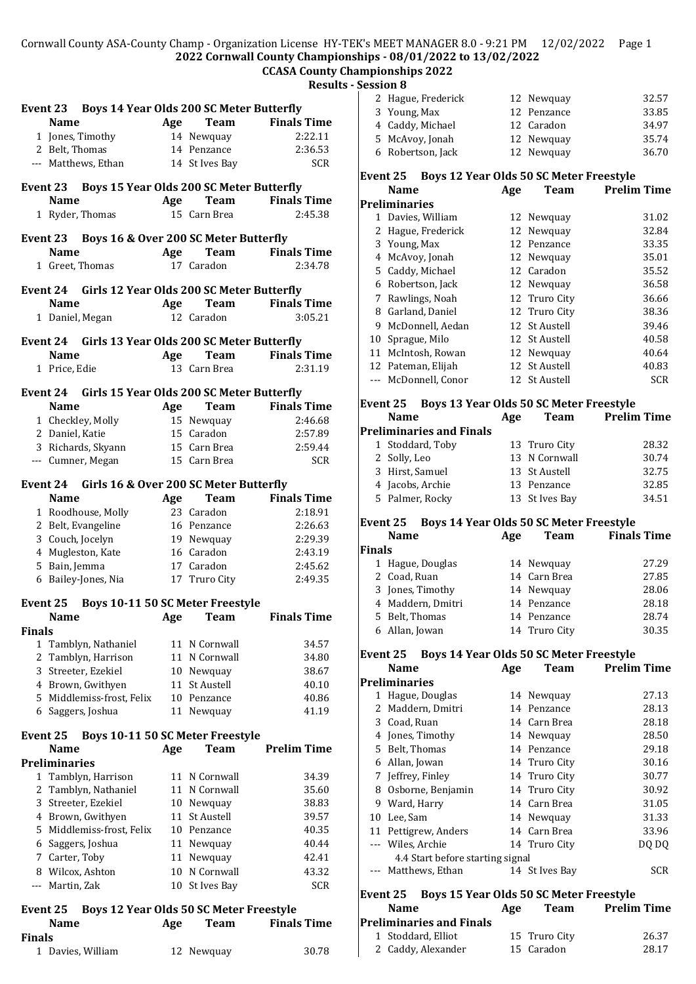#### Cornwall County ASA-County Champ - Organization License HY-TEK's MEET MANAGER 8.0 - 9:21 PM 12/02/2022 Page 1 **2022 Cornwall County Championships - 08/01/2022 to 13/02/2022**

## **CCASA County Championships 2022**

**Results - Session 8**

|               |                      |                                                    |     |                | resui                   |
|---------------|----------------------|----------------------------------------------------|-----|----------------|-------------------------|
|               |                      | Event 23 Boys 14 Year Olds 200 SC Meter Butterfly  |     |                |                         |
|               | <b>Name</b>          |                                                    | Age | <b>Team</b>    | <b>Finals Time</b>      |
|               |                      | 1 Jones, Timothy                                   |     | 14 Newquay     | 2:22.11                 |
|               | 2 Belt, Thomas       |                                                    |     | 14 Penzance    | 2:36.53                 |
|               |                      |                                                    |     |                |                         |
|               |                      | --- Matthews, Ethan                                |     | 14 St Ives Bay | <b>SCR</b>              |
|               |                      | Event 23 Boys 15 Year Olds 200 SC Meter Butterfly  |     |                |                         |
|               | <b>Name</b>          |                                                    |     |                | <b>Team</b> Finals Time |
|               |                      |                                                    | Age |                |                         |
|               |                      | 1 Ryder, Thomas                                    |     | 15 Carn Brea   | 2:45.38                 |
|               | Event 23             | Boys 16 & Over 200 SC Meter Butterfly              |     |                |                         |
|               | <b>Name</b>          |                                                    | Age | Team           | <b>Finals Time</b>      |
|               |                      | 1 Greet, Thomas                                    |     | 17 Caradon     | 2:34.78                 |
|               |                      |                                                    |     |                |                         |
|               |                      | Event 24 Girls 12 Year Olds 200 SC Meter Butterfly |     |                |                         |
|               | <b>Name</b>          |                                                    | Age | Team           | <b>Finals Time</b>      |
|               |                      |                                                    |     | 12 Caradon     | 3:05.21                 |
|               |                      | 1 Daniel, Megan                                    |     |                |                         |
|               |                      | Event 24 Girls 13 Year Olds 200 SC Meter Butterfly |     |                |                         |
|               | <b>Name</b>          |                                                    | Age |                | <b>Team</b> Finals Time |
|               | 1 Price. Edie        |                                                    |     | 13 Carn Brea   | 2:31.19                 |
|               |                      |                                                    |     |                |                         |
|               |                      | Event 24 Girls 15 Year Olds 200 SC Meter Butterfly |     |                |                         |
|               | <b>Name</b>          |                                                    | Age | <b>Team</b>    | <b>Finals Time</b>      |
|               |                      |                                                    |     |                | 2:46.68                 |
|               |                      | 1 Checkley, Molly                                  |     | 15 Newquay     |                         |
|               | 2 Daniel, Katie      |                                                    |     | 15 Caradon     | 2:57.89                 |
|               |                      | 3 Richards, Skyann                                 |     | 15 Carn Brea   | 2:59.44                 |
|               |                      | --- Cumner, Megan                                  |     | 15 Carn Brea   | <b>SCR</b>              |
|               |                      | Event 24 Girls 16 & Over 200 SC Meter Butterfly    |     |                |                         |
|               |                      |                                                    |     |                |                         |
|               | <b>Name</b>          |                                                    | Age | <b>Team</b>    | <b>Finals Time</b>      |
|               |                      | 1 Roodhouse, Molly                                 |     | 23 Caradon     | 2:18.91                 |
|               |                      | 2 Belt, Evangeline                                 |     | 16 Penzance    | 2:26.63                 |
|               |                      | 3 Couch, Jocelyn                                   |     | 19 Newquay     | 2:29.39                 |
|               |                      | 4 Mugleston, Kate                                  |     | 16 Caradon     | 2:43.19                 |
|               | 5 Bain, Jemma        |                                                    |     | 17 Caradon     | 2:45.62                 |
|               |                      | 6 Bailey-Jones, Nia                                |     | 17 Truro City  | 2:49.35                 |
|               |                      |                                                    |     |                |                         |
| Event 25      |                      | Boys 10-11 50 SC Meter Freestyle                   |     |                |                         |
|               | <b>Name</b>          |                                                    | Age | <b>Team</b>    | <b>Finals Time</b>      |
| <b>Finals</b> |                      |                                                    |     |                |                         |
|               |                      | 1 Tamblyn, Nathaniel                               |     | 11 N Cornwall  | 34.57                   |
|               |                      | 2 Tamblyn, Harrison                                |     | 11 N Cornwall  | 34.80                   |
|               |                      | 3 Streeter, Ezekiel                                |     | 10 Newquay     | 38.67                   |
|               |                      | 4 Brown, Gwithyen                                  |     | 11 St Austell  | 40.10                   |
|               |                      | 5 Middlemiss-frost, Felix                          |     | 10 Penzance    | 40.86                   |
|               |                      | 6 Saggers, Joshua                                  | 11  | Newquay        | 41.19                   |
|               |                      |                                                    |     |                |                         |
| Event 25      |                      | <b>Boys 10-11 50 SC Meter Freestyle</b>            |     |                |                         |
|               | Name                 |                                                    | Age | <b>Team</b>    | <b>Prelim Time</b>      |
|               | <b>Preliminaries</b> |                                                    |     |                |                         |
|               |                      | 1 Tamblyn, Harrison                                |     | 11 N Cornwall  | 34.39                   |
|               |                      | 2 Tamblyn, Nathaniel                               |     | 11 N Cornwall  | 35.60                   |
|               |                      | 3 Streeter, Ezekiel                                |     | 10 Newquay     | 38.83                   |
|               |                      | 4 Brown, Gwithyen                                  | 11  | St Austell     | 39.57                   |
|               |                      | 5 Middlemiss-frost, Felix                          |     | 10 Penzance    | 40.35                   |
|               |                      | 6 Saggers, Joshua                                  | 11  | Newquay        | 40.44                   |
|               | 7 Carter, Toby       |                                                    | 11  | Newquay        | 42.41                   |
|               |                      | 8 Wilcox, Ashton                                   | 10  | N Cornwall     | 43.32                   |
|               |                      |                                                    |     |                | <b>SCR</b>              |
|               | --- Martin, Zak      |                                                    | 10  | St Ives Bay    |                         |
| Event 25      |                      | Boys 12 Year Olds 50 SC Meter Freestyle            |     |                |                         |
|               | <b>Name</b>          |                                                    | Age | <b>Team</b>    | <b>Finals Time</b>      |
| <b>Finals</b> |                      |                                                    |     |                |                         |
|               |                      |                                                    |     |                |                         |

1 Davies, William 12 Newquay 30.78

| Young, Max                                                         |                                                                                                                                                   | 12 Penzance                     | 33.85                                                                                                                                                                                                                                                                                                                                                                              |
|--------------------------------------------------------------------|---------------------------------------------------------------------------------------------------------------------------------------------------|---------------------------------|------------------------------------------------------------------------------------------------------------------------------------------------------------------------------------------------------------------------------------------------------------------------------------------------------------------------------------------------------------------------------------|
| 4 Caddy, Michael                                                   |                                                                                                                                                   | 12 Caradon                      | 34.97                                                                                                                                                                                                                                                                                                                                                                              |
| McAvoy, Jonah                                                      | 12                                                                                                                                                | Newquay                         | 35.74                                                                                                                                                                                                                                                                                                                                                                              |
| Robertson, Jack                                                    |                                                                                                                                                   |                                 | 36.70                                                                                                                                                                                                                                                                                                                                                                              |
| Event 25                                                           |                                                                                                                                                   |                                 |                                                                                                                                                                                                                                                                                                                                                                                    |
| <b>Name</b>                                                        | Age                                                                                                                                               | <b>Team</b>                     | <b>Prelim Time</b>                                                                                                                                                                                                                                                                                                                                                                 |
| <b>Preliminaries</b>                                               |                                                                                                                                                   |                                 |                                                                                                                                                                                                                                                                                                                                                                                    |
| Davies, William                                                    |                                                                                                                                                   | Newquay                         | 31.02                                                                                                                                                                                                                                                                                                                                                                              |
| 2 Hague, Frederick                                                 | 12                                                                                                                                                | Newquay                         | 32.84                                                                                                                                                                                                                                                                                                                                                                              |
| 3 Young, Max                                                       |                                                                                                                                                   |                                 | 33.35                                                                                                                                                                                                                                                                                                                                                                              |
| 4 McAvoy, Jonah                                                    |                                                                                                                                                   |                                 | 35.01                                                                                                                                                                                                                                                                                                                                                                              |
| 5 Caddy, Michael                                                   |                                                                                                                                                   |                                 | 35.52                                                                                                                                                                                                                                                                                                                                                                              |
| 6 Robertson, Jack                                                  |                                                                                                                                                   |                                 | 36.58                                                                                                                                                                                                                                                                                                                                                                              |
|                                                                    |                                                                                                                                                   |                                 | 36.66                                                                                                                                                                                                                                                                                                                                                                              |
|                                                                    |                                                                                                                                                   |                                 | 38.36                                                                                                                                                                                                                                                                                                                                                                              |
|                                                                    |                                                                                                                                                   |                                 | 39.46                                                                                                                                                                                                                                                                                                                                                                              |
|                                                                    |                                                                                                                                                   |                                 | 40.58                                                                                                                                                                                                                                                                                                                                                                              |
|                                                                    |                                                                                                                                                   |                                 | 40.64                                                                                                                                                                                                                                                                                                                                                                              |
|                                                                    |                                                                                                                                                   |                                 | 40.83                                                                                                                                                                                                                                                                                                                                                                              |
|                                                                    |                                                                                                                                                   |                                 | <b>SCR</b>                                                                                                                                                                                                                                                                                                                                                                         |
|                                                                    |                                                                                                                                                   |                                 |                                                                                                                                                                                                                                                                                                                                                                                    |
| Event 25                                                           |                                                                                                                                                   |                                 |                                                                                                                                                                                                                                                                                                                                                                                    |
| <b>Name</b>                                                        | Age                                                                                                                                               | <b>Team</b>                     | <b>Prelim Time</b>                                                                                                                                                                                                                                                                                                                                                                 |
|                                                                    |                                                                                                                                                   |                                 |                                                                                                                                                                                                                                                                                                                                                                                    |
| 1 Stoddard, Toby                                                   | 13                                                                                                                                                | Truro City                      | 28.32                                                                                                                                                                                                                                                                                                                                                                              |
| 2 Solly, Leo                                                       | 13                                                                                                                                                | N Cornwall                      | 30.74                                                                                                                                                                                                                                                                                                                                                                              |
| 3 Hirst, Samuel                                                    |                                                                                                                                                   | St Austell                      | 32.75                                                                                                                                                                                                                                                                                                                                                                              |
| 4 Jacobs, Archie                                                   |                                                                                                                                                   | Penzance                        | 32.85                                                                                                                                                                                                                                                                                                                                                                              |
| 5 Palmer, Rocky                                                    |                                                                                                                                                   |                                 | 34.51                                                                                                                                                                                                                                                                                                                                                                              |
| Event 25                                                           |                                                                                                                                                   |                                 |                                                                                                                                                                                                                                                                                                                                                                                    |
|                                                                    |                                                                                                                                                   |                                 |                                                                                                                                                                                                                                                                                                                                                                                    |
| <b>Name</b>                                                        |                                                                                                                                                   |                                 |                                                                                                                                                                                                                                                                                                                                                                                    |
|                                                                    | Age                                                                                                                                               | <b>Team</b>                     | <b>Finals Time</b>                                                                                                                                                                                                                                                                                                                                                                 |
| Finals                                                             | 14                                                                                                                                                |                                 | 27.29                                                                                                                                                                                                                                                                                                                                                                              |
| 1 Hague, Douglas<br>2 Coad, Ruan                                   | 14                                                                                                                                                | Newquay<br>Carn Brea            | 27.85                                                                                                                                                                                                                                                                                                                                                                              |
|                                                                    | 14                                                                                                                                                |                                 | 28.06                                                                                                                                                                                                                                                                                                                                                                              |
| 3 Jones, Timothy                                                   |                                                                                                                                                   | Newquay<br>14 Penzance          | 28.18                                                                                                                                                                                                                                                                                                                                                                              |
| 4 Maddern, Dmitri                                                  |                                                                                                                                                   | 14 Penzance                     |                                                                                                                                                                                                                                                                                                                                                                                    |
| 5 Belt, Thomas<br>6 Allan, Jowan                                   |                                                                                                                                                   | 14 Truro City                   | 28.74<br>30.35                                                                                                                                                                                                                                                                                                                                                                     |
|                                                                    |                                                                                                                                                   |                                 |                                                                                                                                                                                                                                                                                                                                                                                    |
| Boys 14 Year Olds 50 SC Meter Freestyle<br>Event 25<br><b>Name</b> |                                                                                                                                                   |                                 | <b>Prelim Time</b>                                                                                                                                                                                                                                                                                                                                                                 |
|                                                                    | Age                                                                                                                                               | Team                            |                                                                                                                                                                                                                                                                                                                                                                                    |
| <b>Preliminaries</b>                                               | 14                                                                                                                                                | Newquay                         | 27.13                                                                                                                                                                                                                                                                                                                                                                              |
| 1 Hague, Douglas                                                   | 14                                                                                                                                                | Penzance                        | 28.13                                                                                                                                                                                                                                                                                                                                                                              |
| Maddern, Dmitri<br>3 Coad, Ruan                                    |                                                                                                                                                   | 14 Carn Brea                    | 28.18                                                                                                                                                                                                                                                                                                                                                                              |
| 4 Jones, Timothy                                                   |                                                                                                                                                   | 14 Newquay                      | 28.50                                                                                                                                                                                                                                                                                                                                                                              |
| 5 Belt, Thomas                                                     |                                                                                                                                                   | 14 Penzance                     | 29.18                                                                                                                                                                                                                                                                                                                                                                              |
| 6 Allan, Jowan                                                     |                                                                                                                                                   |                                 | 30.16                                                                                                                                                                                                                                                                                                                                                                              |
| Jeffrey, Finley                                                    |                                                                                                                                                   | 14 Truro City<br>14 Truro City  | 30.77                                                                                                                                                                                                                                                                                                                                                                              |
|                                                                    | 7 Rawlings, Noah<br>8 Garland, Daniel<br>McDonnell, Aedan<br>10 Sprague, Milo<br>11 McIntosh, Rowan<br>12 Pateman, Elijah<br>--- McDonnell, Conor | <b>Preliminaries and Finals</b> | 12 Newquay<br>Boys 12 Year Olds 50 SC Meter Freestyle<br>12<br>12 Penzance<br>12 Newquay<br>12 Caradon<br>12 Newquay<br>12 Truro City<br>12<br>Truro City<br>12<br>St Austell<br>12<br><b>St Austell</b><br>12<br>Newquay<br>12<br>St Austell<br>12 St Austell<br>Boys 13 Year Olds 50 SC Meter Freestyle<br>13<br>13<br>13 St Ives Bay<br>Boys 14 Year Olds 50 SC Meter Freestyle |

 Ward, Harry 14 Carn Brea 31.05 Lee, Sam 14 Newquay 31.33 Pettigrew, Anders 14 Carn Brea 33.96 --- Wiles, Archie 14 Truro City DQ DQ

--- Matthews, Ethan 14 St Ives Bay SCR

**Name Age Team Prelim Time**

1 Stoddard, Elliot 15 Truro City 26.37<br>2 Caddy, Alexander 15 Caradon 28.17 2 Caddy, Alexander 15 Caradon 28.17

**Event 25 Boys 15 Year Olds 50 SC Meter Freestyle**

4.4 Start before starting signal

**Preliminaries and Finals**

2 Hague, Frederick 12 Newquay 32.57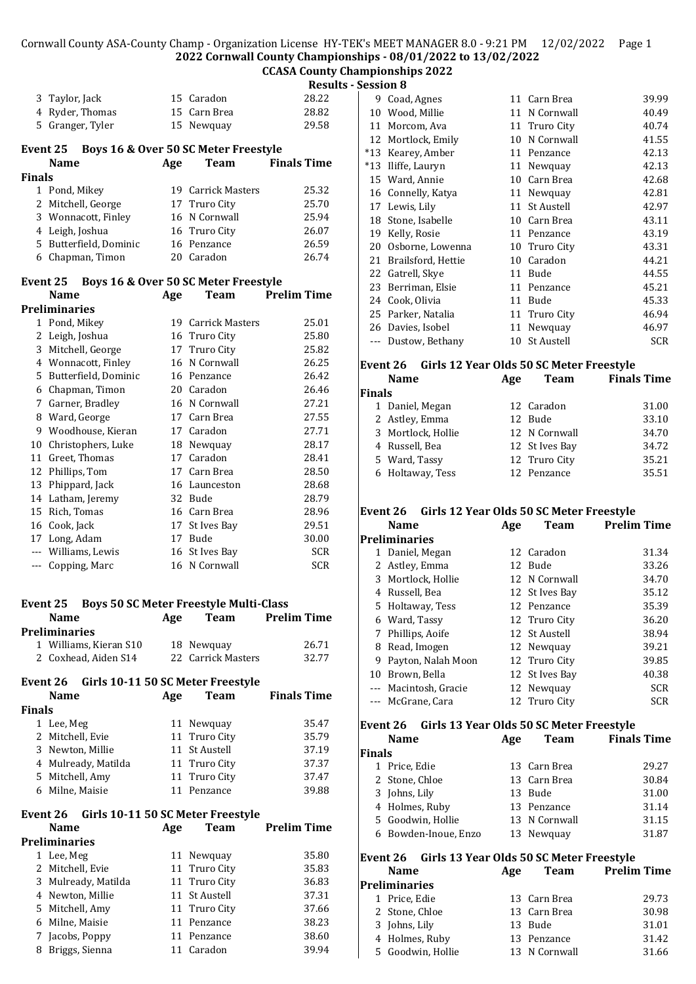### **CCASA County Championships 2022**

**Results - Session 8**

|               |                                               |     |                                               | Resu               |
|---------------|-----------------------------------------------|-----|-----------------------------------------------|--------------------|
|               | 3 Taylor, Jack                                |     | 15 Caradon                                    | 28.22              |
|               | 4 Ryder, Thomas                               |     | 15 Carn Brea                                  | 28.82              |
|               | 5 Granger, Tyler                              |     | 15 Newquay                                    | 29.58              |
|               | Event 25                                      |     | Boys 16 & Over 50 SC Meter Freestyle          |                    |
|               | <b>Name</b>                                   | Age | Team                                          | <b>Finals Time</b> |
| Finals        |                                               |     | 19 Carrick Masters                            | 25.32              |
|               | 1 Pond, Mikey<br>2 Mitchell, George           |     | 17 Truro City                                 | 25.70              |
|               | 3 Wonnacott, Finley                           |     | 16 N Cornwall                                 | 25.94              |
|               | 4 Leigh, Joshua                               |     | 16 Truro City                                 | 26.07              |
|               | 5 Butterfield, Dominic                        |     | 16 Penzance                                   | 26.59              |
|               | 6 Chapman, Timon                              |     | 20 Caradon                                    | 26.74              |
|               | Event 25 Boys 16 & Over 50 SC Meter Freestyle |     |                                               |                    |
|               | <b>Name</b>                                   | Age | <b>Team</b>                                   | <b>Prelim Time</b> |
|               | <b>Preliminaries</b>                          |     |                                               |                    |
|               | 1 Pond, Mikey                                 |     | 19 Carrick Masters                            | 25.01              |
|               | 2 Leigh, Joshua                               |     | 16 Truro City                                 | 25.80              |
|               | 3 Mitchell, George                            |     | 17 Truro City                                 | 25.82              |
|               | 4 Wonnacott, Finley                           |     | 16 N Cornwall                                 | 26.25              |
|               | 5 Butterfield, Dominic                        |     | 16 Penzance                                   | 26.42              |
|               | 6 Chapman, Timon                              |     | 20 Caradon                                    | 26.46              |
|               | 7 Garner, Bradley                             |     | 16 N Cornwall                                 | 27.21              |
|               | 8 Ward, George                                |     | 17 Carn Brea                                  | 27.55              |
|               | 9 Woodhouse, Kieran                           |     | 17 Caradon                                    | 27.71              |
|               | 10 Christophers, Luke                         |     | 18 Newquay                                    | 28.17              |
|               | 11 Greet, Thomas                              |     | 17 Caradon                                    | 28.41              |
|               | 12 Phillips, Tom                              |     | 17 Carn Brea                                  | 28.50              |
| 13            | Phippard, Jack                                |     | 16 Launceston                                 | 28.68              |
|               | 14 Latham, Jeremy                             |     | 32 Bude                                       | 28.79              |
|               | 15 Rich, Tomas                                |     | 16 Carn Brea                                  | 28.96              |
|               | 16 Cook, Jack                                 |     | 17 St Ives Bay                                | 29.51              |
|               | 17 Long, Adam                                 |     | 17 Bude                                       | 30.00              |
|               | --- Williams, Lewis                           |     | 16 St Ives Bay                                | <b>SCR</b>         |
|               | --- Copping, Marc                             |     | 16 N Cornwall                                 | <b>SCR</b>         |
|               |                                               |     |                                               |                    |
|               | <b>Event 25</b>                               |     | <b>Boys 50 SC Meter Freestyle Multi-Class</b> |                    |
|               | Name                                          | Age | Team                                          | Prelim Time        |
|               | <b>Preliminaries</b>                          |     |                                               |                    |
|               | 1 Williams, Kieran S10                        |     | 18 Newquay                                    | 26.71              |
|               | 2 Coxhead, Aiden S14                          |     | 22 Carrick Masters                            | 32.77              |
|               | Event 26 Girls 10-11 50 SC Meter Freestyle    |     |                                               |                    |
|               | <b>Name</b>                                   | Age | Team                                          | <b>Finals Time</b> |
| <b>Finals</b> |                                               |     |                                               |                    |
|               | 1 Lee, Meg                                    |     | 11 Newquay                                    | 35.47              |
|               | 2 Mitchell, Evie                              |     | 11 Truro City                                 | 35.79              |
|               | 3 Newton, Millie                              |     | 11 St Austell                                 | 37.19              |
|               | 4 Mulready, Matilda                           |     | 11 Truro City                                 | 37.37              |
|               | 5 Mitchell, Amy                               |     | 11 Truro City                                 | 37.47              |
|               | 6 Milne, Maisie                               |     | 11 Penzance                                   | 39.88              |
|               | Event 26 Girls 10-11 50 SC Meter Freestyle    |     |                                               |                    |
|               | <b>Name</b>                                   | Age | Team                                          | <b>Prelim Time</b> |
|               | <b>Preliminaries</b>                          |     |                                               |                    |
|               | 1 Lee, Meg                                    |     | 11 Newquay                                    | 35.80              |
|               | 2 Mitchell, Evie                              |     | 11 Truro City                                 | 35.83              |
|               | 3 Mulready, Matilda                           |     | 11 Truro City                                 | 36.83              |
|               | 4 Newton, Millie                              |     | 11 St Austell                                 | 37.31              |
|               | 5 Mitchell, Amy                               |     | 11 Truro City                                 | 37.66              |
|               | 6 Milne, Maisie                               |     | 11 Penzance                                   | 38.23              |
|               | 7 Jacobs, Poppy                               |     | 11 Penzance                                   | 38.60              |
| 8             | Briggs, Sienna                                |     | 11 Caradon                                    | 39.94              |

| 9     | Coad, Agnes        | 11 | Carn Brea         | 39.99 |
|-------|--------------------|----|-------------------|-------|
| 10    | Wood, Millie       | 11 | N Cornwall        | 40.49 |
| 11    | Morcom, Ava        | 11 | Truro City        | 40.74 |
| 12    | Mortlock, Emily    | 10 | N Cornwall        | 41.55 |
| $*13$ | Kearey, Amber      | 11 | Penzance          | 42.13 |
| *13   | Iliffe, Lauryn     | 11 | Newquay           | 42.13 |
|       | 15 Ward, Annie     | 10 | Carn Brea         | 42.68 |
|       | 16 Connelly, Katya | 11 | Newquay           | 42.81 |
| 17    | Lewis, Lily        | 11 | St Austell        | 42.97 |
| 18    | Stone, Isabelle    | 10 | Carn Brea         | 43.11 |
| 19    | Kelly, Rosie       | 11 | Penzance          | 43.19 |
| 20    | Osborne, Lowenna   |    | 10 Truro City     | 43.31 |
| 21    | Brailsford, Hettie | 10 | Caradon           | 44.21 |
| 22    | Gatrell, Skye      | 11 | Bude              | 44.55 |
| 23    | Berriman, Elsie    | 11 | Penzance          | 45.21 |
| 24    | Cook, Olivia       | 11 | Bude              | 45.33 |
|       | 25 Parker, Natalia | 11 | Truro City        | 46.94 |
| 26    | Davies, Isobel     | 11 | Newquay           | 46.97 |
|       | Dustow, Bethany    | 10 | <b>St Austell</b> | SCR   |
|       |                    |    |                   |       |

#### **Event 26 Girls 12 Year Olds 50 SC Meter Freestyle**

|        | <b>Name</b>        | Age | <b>Team</b>    | <b>Finals Time</b> |
|--------|--------------------|-----|----------------|--------------------|
| Finals |                    |     |                |                    |
|        | 1 Daniel, Megan    |     | 12 Caradon     | 31.00              |
|        | 2 Astley, Emma     |     | 12 Bude        | 33.10              |
|        | 3 Mortlock, Hollie |     | 12 N Cornwall  | 34.70              |
|        | 4 Russell, Bea     |     | 12 St Ives Bay | 34.72              |
|        | 5 Ward, Tassy      |     | 12 Truro City  | 35.21              |
|        | 6 Holtaway, Tess   |     | 12 Penzance    | 35.51              |

#### **Event 26 Girls 12 Year Olds 50 SC Meter Freestyle**

|    | <b>Name</b>          | Age | <b>Team</b>    | <b>Prelim Time</b> |
|----|----------------------|-----|----------------|--------------------|
|    | <b>Preliminaries</b> |     |                |                    |
| 1  | Daniel, Megan        |     | 12 Caradon     | 31.34              |
|    | 2 Astley, Emma       |     | 12 Bude        | 33.26              |
| 3  | Mortlock, Hollie     |     | 12 N Cornwall  | 34.70              |
| 4  | Russell, Bea         |     | 12 St Ives Bay | 35.12              |
| 5. | Holtaway, Tess       |     | 12 Penzance    | 35.39              |
|    | 6 Ward, Tassy        |     | 12 Truro City  | 36.20              |
| 7  | Phillips, Aoife      |     | 12 St Austell  | 38.94              |
| 8  | Read, Imogen         |     | 12 Newquay     | 39.21              |
| 9  | Payton, Nalah Moon   |     | 12 Truro City  | 39.85              |
| 10 | Brown, Bella         |     | 12 St Ives Bay | 40.38              |
|    | Macintosh, Gracie    |     | 12 Newquay     | <b>SCR</b>         |
|    | McGrane, Cara        |     | 12 Truro City  | <b>SCR</b>         |
|    |                      |     |                |                    |

## **Event 26 Girls 13 Year Olds 50 SC Meter Freestyle**

|               | Name                 | Age | <b>Team</b>   | <b>Finals Time</b> |
|---------------|----------------------|-----|---------------|--------------------|
| <b>Finals</b> |                      |     |               |                    |
|               | Price, Edie          |     | 13 Carn Brea  | 29.27              |
|               | 2 Stone, Chloe       |     | 13 Carn Brea  | 30.84              |
|               | 3 Johns, Lily        |     | 13 Bude       | 31.00              |
|               | 4 Holmes, Ruby       |     | 13 Penzance   | 31.14              |
|               | 5 Goodwin, Hollie    |     | 13 N Cornwall | 31.15              |
|               | 6 Bowden-Inoue, Enzo |     | 13 Newquay    | 31.87              |
|               |                      |     |               |                    |

# **Event 26 Girls 13 Year Olds 50 SC Meter Freestyle**

| <b>Name</b>       | Age | <b>Team</b>   | <b>Prelim Time</b> |
|-------------------|-----|---------------|--------------------|
| Preliminaries     |     |               |                    |
| 1 Price, Edie     |     | 13 Carn Brea  | 29.73              |
| 2 Stone, Chloe    |     | 13 Carn Brea  | 30.98              |
| 3 Johns, Lily     |     | 13 Bude       | 31.01              |
| 4 Holmes, Ruby    |     | 13 Penzance   | 31.42              |
| 5 Goodwin, Hollie |     | 13 N Cornwall | 31.66              |